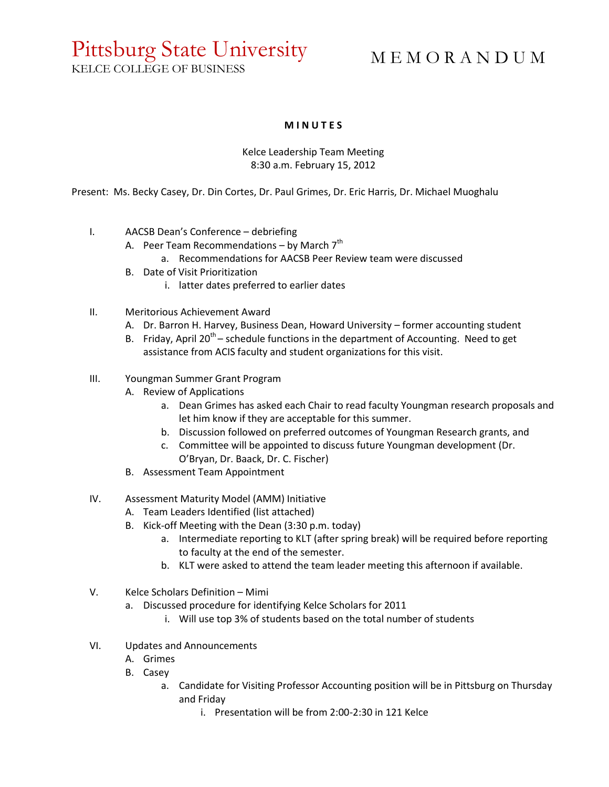## Pittsburg State University

M E M O R A N D U M

KELCE COLLEGE OF BUSINESS

## **M I N U T E S**

## Kelce Leadership Team Meeting 8:30 a.m. February 15, 2012

Present: Ms. Becky Casey, Dr. Din Cortes, Dr. Paul Grimes, Dr. Eric Harris, Dr. Michael Muoghalu

- I. AACSB Dean's Conference debriefing
	- A. Peer Team Recommendations  $-$  by March  $7<sup>th</sup>$ 
		- a. Recommendations for AACSB Peer Review team were discussed
	- B. Date of Visit Prioritization
		- i. latter dates preferred to earlier dates
- II. Meritorious Achievement Award
	- A. Dr. Barron H. Harvey, Business Dean, Howard University former accounting student
	- B. Friday, April 20<sup>th</sup> schedule functions in the department of Accounting. Need to get assistance from ACIS faculty and student organizations for this visit.
- III. Youngman Summer Grant Program
	- A. Review of Applications
		- a. Dean Grimes has asked each Chair to read faculty Youngman research proposals and let him know if they are acceptable for this summer.
		- b. Discussion followed on preferred outcomes of Youngman Research grants, and
		- c. Committee will be appointed to discuss future Youngman development (Dr. O'Bryan, Dr. Baack, Dr. C. Fischer)
	- B. Assessment Team Appointment
- IV. Assessment Maturity Model (AMM) Initiative
	- A. Team Leaders Identified (list attached)
	- B. Kick-off Meeting with the Dean (3:30 p.m. today)
		- a. Intermediate reporting to KLT (after spring break) will be required before reporting to faculty at the end of the semester.
		- b. KLT were asked to attend the team leader meeting this afternoon if available.
- V. Kelce Scholars Definition Mimi
	- a. Discussed procedure for identifying Kelce Scholars for 2011
		- i. Will use top 3% of students based on the total number of students
- VI. Updates and Announcements
	- A. Grimes
	- B. Casey
		- a. Candidate for Visiting Professor Accounting position will be in Pittsburg on Thursday and Friday
			- i. Presentation will be from 2:00-2:30 in 121 Kelce